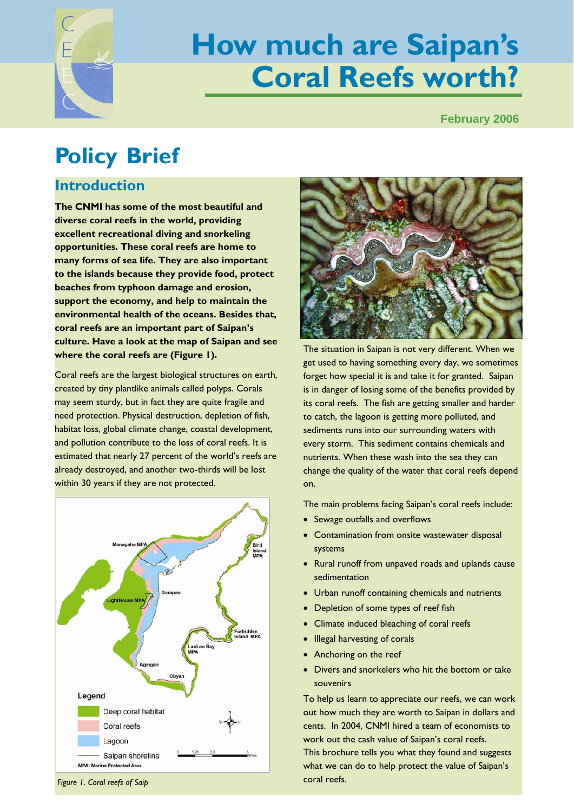

# **How much are Saipan's Coral Reefs worth?**

**February 2006** 

## **Policy Brief**

## **Introduction**

**The CNMI has some of the most beautiful and diverse coral reefs in the world, providing excellent recreational diving and snorkeling opportunities. These coral reefs are home to many forms of sea life. They are also important to the islands because they provide food, protect beaches from typhoon damage and erosion, support the economy, and help to maintain the environmental health of the oceans. Besides that, coral reefs are an important part of Saipan's culture. Have a look at the map of Saipan and see where the coral reefs are (Figure 1).** 

Coral reefs are the largest biological structures on earth, created by tiny plantlike animals called polyps. Corals may seem sturdy, but in fact they are quite fragile and need protection. Physical destruction, depletion of fish, habitat loss, global climate change, coastal development, and pollution contribute to the loss of coral reefs. It is estimated that nearly 27 percent of the world's reefs are already destroyed, and another two-thirds will be lost within 30 years if they are not protected.





The situation in Saipan is not very different. When we get used to having something every day, we sometimes forget how special it is and take it for granted. Saipan is in danger of losing some of the benefits provided by its coral reefs. The fish are getting smaller and harder to catch, the lagoon is getting more polluted, and sediments runs into our surrounding waters with every storm. This sediment contains chemicals and nutrients. When these wash into the sea they can change the quality of the water that coral reefs depend on.

The main problems facing Saipan's coral reefs include:

- Sewage outfalls and overflows
- Contamination from onsite wastewater disposal systems
- Rural runoff from unpaved roads and uplands cause sedimentation
- Urban runoff containing chemicals and nutrients
- Depletion of some types of reef fish
- Climate induced bleaching of coral reefs
- Illegal harvesting of corals
- Anchoring on the reef
- Divers and snorkelers who hit the bottom or take souvenirs

To help us learn to appreciate our reefs, we can work out how much they are worth to Saipan in dollars and cents. In 2004, CNMI hired a team of economists to work out the cash value of Saipan's coral reefs. This brochure tells you what they found and suggests what we can do to help protect the value of Saipan's

coral reefs. *Figure 1. Coral reefs of Saip*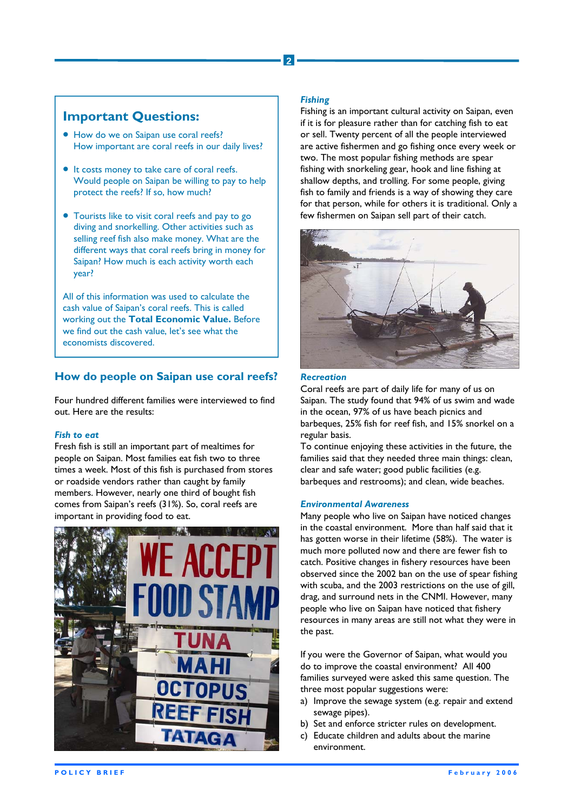## **Important Questions:**

- How do we on Saipan use coral reefs? How important are coral reefs in our daily lives?
- It costs money to take care of coral reefs. Would people on Saipan be willing to pay to help protect the reefs? If so, how much?
- Tourists like to visit coral reefs and pay to go diving and snorkelling. Other activities such as selling reef fish also make money. What are the different ways that coral reefs bring in money for Saipan? How much is each activity worth each year?

All of this information was used to calculate the cash value of Saipan's coral reefs. This is called working out the **Total Economic Value.** Before we find out the cash value, let's see what the economists discovered.

### **How do people on Saipan use coral reefs?**

Four hundred different families were interviewed to find out. Here are the results:

#### *Fish to eat*

Fresh fish is still an important part of mealtimes for people on Saipan. Most families eat fish two to three times a week. Most of this fish is purchased from stores or roadside vendors rather than caught by family members. However, nearly one third of bought fish comes from Saipan's reefs (31%). So, coral reefs are important in providing food to eat.



#### *Fishing*

**2** 

Fishing is an important cultural activity on Saipan, even if it is for pleasure rather than for catching fish to eat or sell. Twenty percent of all the people interviewed are active fishermen and go fishing once every week or two. The most popular fishing methods are spear fishing with snorkeling gear, hook and line fishing at shallow depths, and trolling. For some people, giving fish to family and friends is a way of showing they care for that person, while for others it is traditional. Only a few fishermen on Saipan sell part of their catch.



#### *Recreation*

Coral reefs are part of daily life for many of us on Saipan. The study found that 94% of us swim and wade in the ocean, 97% of us have beach picnics and barbeques, 25% fish for reef fish, and 15% snorkel on a regular basis.

To continue enjoying these activities in the future, the families said that they needed three main things: clean, clear and safe water; good public facilities (e.g. barbeques and restrooms); and clean, wide beaches.

#### *Environmental Awareness*

Many people who live on Saipan have noticed changes in the coastal environment. More than half said that it has gotten worse in their lifetime (58%). The water is much more polluted now and there are fewer fish to catch. Positive changes in fishery resources have been observed since the 2002 ban on the use of spear fishing with scuba, and the 2003 restrictions on the use of gill, drag, and surround nets in the CNMI. However, many people who live on Saipan have noticed that fishery resources in many areas are still not what they were in the past.

If you were the Governor of Saipan, what would you do to improve the coastal environment? All 400 families surveyed were asked this same question. The three most popular suggestions were:

- a) Improve the sewage system (e.g. repair and extend sewage pipes).
- b) Set and enforce stricter rules on development.
- c) Educate children and adults about the marine environment.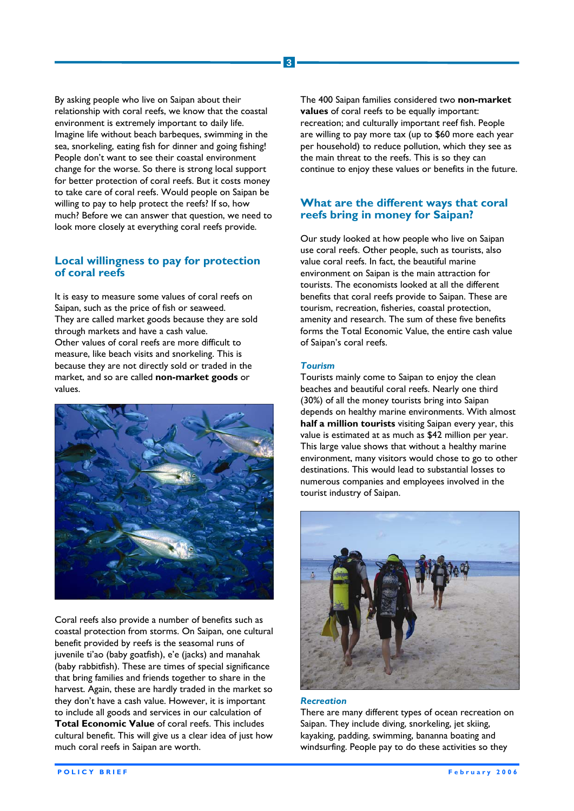By asking people who live on Saipan about their relationship with coral reefs, we know that the coastal environment is extremely important to daily life. Imagine life without beach barbeques, swimming in the sea, snorkeling, eating fish for dinner and going fishing! People don't want to see their coastal environment change for the worse. So there is strong local support for better protection of coral reefs. But it costs money to take care of coral reefs. Would people on Saipan be willing to pay to help protect the reefs? If so, how much? Before we can answer that question, we need to look more closely at everything coral reefs provide.

#### **Local willingness to pay for protection of coral reefs**

It is easy to measure some values of coral reefs on Saipan, such as the price of fish or seaweed. They are called market goods because they are sold through markets and have a cash value. Other values of coral reefs are more difficult to measure, like beach visits and snorkeling. This is because they are not directly sold or traded in the market, and so are called **non-market goods** or values.



Coral reefs also provide a number of benefits such as coastal protection from storms. On Saipan, one cultural benefit provided by reefs is the seasomal runs of juvenile ti'ao (baby goatfish), e'e (jacks) and manahak (baby rabbitfish). These are times of special significance that bring families and friends together to share in the harvest. Again, these are hardly traded in the market so they don't have a cash value. However, it is important to include all goods and services in our calculation of **Total Economic Value** of coral reefs. This includes cultural benefit. This will give us a clear idea of just how much coral reefs in Saipan are worth.

The 400 Saipan families considered two **non-market values** of coral reefs to be equally important: recreation; and culturally important reef fish. People are willing to pay more tax (up to \$60 more each year per household) to reduce pollution, which they see as the main threat to the reefs. This is so they can continue to enjoy these values or benefits in the future.

#### **What are the different ways that coral reefs bring in money for Saipan?**

Our study looked at how people who live on Saipan use coral reefs. Other people, such as tourists, also value coral reefs. In fact, the beautiful marine environment on Saipan is the main attraction for tourists. The economists looked at all the different benefits that coral reefs provide to Saipan. These are tourism, recreation, fisheries, coastal protection, amenity and research. The sum of these five benefits forms the Total Economic Value, the entire cash value of Saipan's coral reefs.

#### *Tourism*

**3** 

Tourists mainly come to Saipan to enjoy the clean beaches and beautiful coral reefs. Nearly one third (30%) of all the money tourists bring into Saipan depends on healthy marine environments. With almost **half a million tourists** visiting Saipan every year, this value is estimated at as much as \$42 million per year. This large value shows that without a healthy marine environment, many visitors would chose to go to other destinations. This would lead to substantial losses to numerous companies and employees involved in the tourist industry of Saipan.



#### *Recreation*

There are many different types of ocean recreation on Saipan. They include diving, snorkeling, jet skiing, kayaking, padding, swimming, bananna boating and windsurfing. People pay to do these activities so they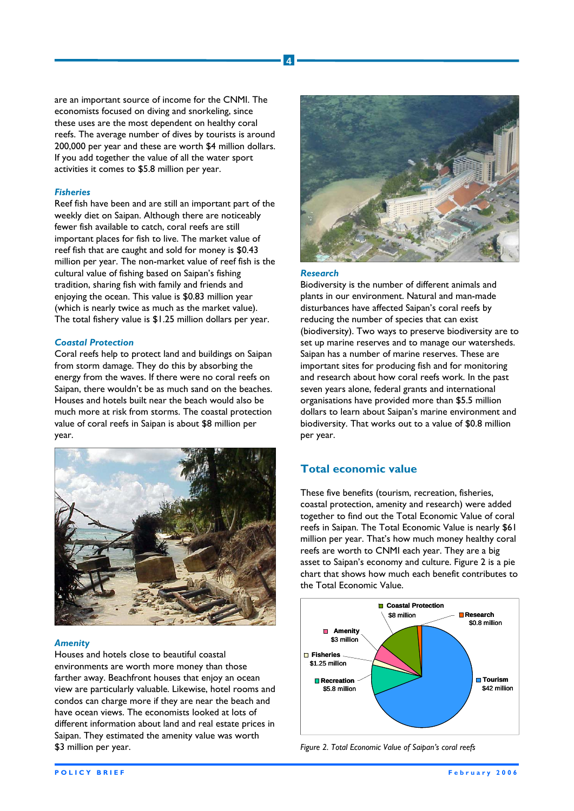are an important source of income for the CNMI. The economists focused on diving and snorkeling, since these uses are the most dependent on healthy coral reefs. The average number of dives by tourists is around 200,000 per year and these are worth \$4 million dollars. If you add together the value of all the water sport activities it comes to \$5.8 million per year.

#### *Fisheries*

Reef fish have been and are still an important part of the weekly diet on Saipan. Although there are noticeably fewer fish available to catch, coral reefs are still important places for fish to live. The market value of reef fish that are caught and sold for money is \$0.43 million per year. The non-market value of reef fish is the cultural value of fishing based on Saipan's fishing tradition, sharing fish with family and friends and enjoying the ocean. This value is \$0.83 million year (which is nearly twice as much as the market value). The total fishery value is \$1.25 million dollars per year.

#### *Coastal Protection*

Coral reefs help to protect land and buildings on Saipan from storm damage. They do this by absorbing the energy from the waves. If there were no coral reefs on Saipan, there wouldn't be as much sand on the beaches. Houses and hotels built near the beach would also be much more at risk from storms. The coastal protection value of coral reefs in Saipan is about \$8 million per year.



#### *Amenity*

Houses and hotels close to beautiful coastal environments are worth more money than those farther away. Beachfront houses that enjoy an ocean view are particularly valuable. Likewise, hotel rooms and condos can charge more if they are near the beach and have ocean views. The economists looked at lots of different information about land and real estate prices in Saipan. They estimated the amenity value was worth \$3 million per year.



#### *Research*

**4** 

Biodiversity is the number of different animals and plants in our environment. Natural and man-made disturbances have affected Saipan's coral reefs by reducing the number of species that can exist (biodiversity). Two ways to preserve biodiversity are to set up marine reserves and to manage our watersheds. Saipan has a number of marine reserves. These are important sites for producing fish and for monitoring and research about how coral reefs work. In the past seven years alone, federal grants and international organisations have provided more than \$5.5 million dollars to learn about Saipan's marine environment and biodiversity. That works out to a value of \$0.8 million per year.

#### **Total economic value**

These five benefits (tourism, recreation, fisheries, coastal protection, amenity and research) were added together to find out the Total Economic Value of coral reefs in Saipan. The Total Economic Value is nearly \$61 million per year. That's how much money healthy coral reefs are worth to CNMI each year. They are a big asset to Saipan's economy and culture. Figure 2 is a pie chart that shows how much each benefit contributes to the Total Economic Value.



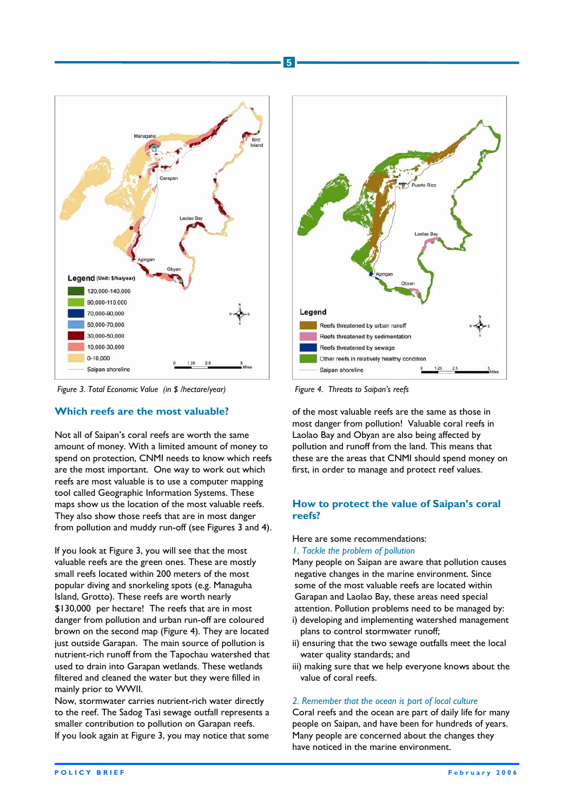

*Figure 3. Total Economic Value (in \$ /hectare/year) Figure 4. Threats to Saipan's reefs* 

#### **Which reefs are the most valuable?**

Not all of Saipan's coral reefs are worth the same amount of money. With a limited amount of money to spend on protection, CNMI needs to know which reefs are the most important. One way to work out which reefs are most valuable is to use a computer mapping tool called Geographic Information Systems. These maps show us the location of the most valuable reefs. They also show those reefs that are in most danger from pollution and muddy run-off (see Figures 3 and 4).

If you look at Figure 3, you will see that the most valuable reefs are the green ones. These are mostly small reefs located within 200 meters of the most popular diving and snorkeling spots (e.g. Managuha Island, Grotto). These reefs are worth nearly \$130,000 per hectare! The reefs that are in most danger from pollution and urban run-off are coloured brown on the second map (Figure 4). They are located just outside Garapan. The main source of pollution is nutrient-rich runoff from the Tapochau watershed that used to drain into Garapan wetlands. These wetlands filtered and cleaned the water but they were filled in mainly prior to WWII.

Now, stormwater carries nutrient-rich water directly to the reef. The Sadog Tasi sewage outfall represents a smaller contribution to pollution on Garapan reefs. If you look again at Figure 3, you may notice that some



of the most valuable reefs are the same as those in most danger from pollution! Valuable coral reefs in Laolao Bay and Obyan are also being affected by pollution and runoff from the land. This means that these are the areas that CNMI should spend money on first, in order to manage and protect reef values.

#### **How to protect the value of Saipan's coral reefs?**

Here are some recommendations:

#### *1. Tackle the problem of pollution*

Many people on Saipan are aware that pollution causes negative changes in the marine environment. Since some of the most valuable reefs are located within Garapan and Laolao Bay, these areas need special attention. Pollution problems need to be managed by:

- i) developing and implementing watershed management plans to control stormwater runoff;
- ii) ensuring that the two sewage outfalls meet the local water quality standards; and
- iii) making sure that we help everyone knows about the value of coral reefs.

#### *2. Remember that the ocean is part of local culture*

Coral reefs and the ocean are part of daily life for many people on Saipan, and have been for hundreds of years. Many people are concerned about the changes they have noticed in the marine environment.

**5**